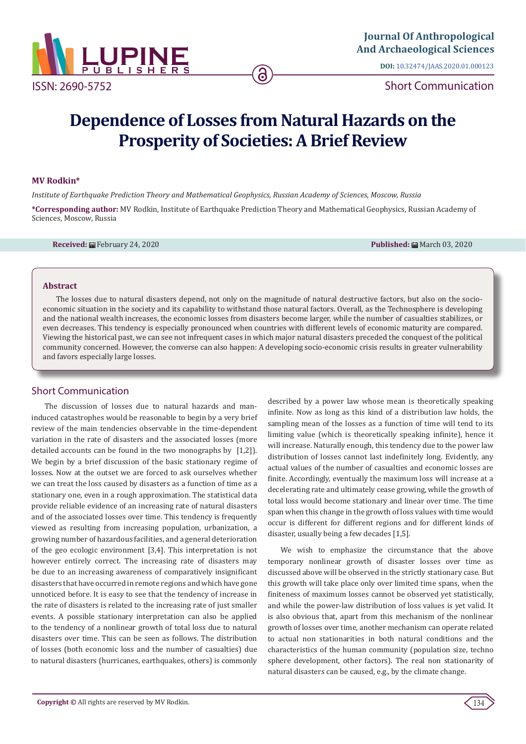

**DOI:** [10.32474/JAAS.2020.01.000123](http://dx.doi.org/10.32474/JAAS.2020.01.000123)

Short Communication

# **Dependence of Losses from Natural Hazards on the Prosperity of Societies: A Brief Review**

### **MV Rodkin\***

*Institute of Earthquake Prediction Theory and Mathematical Geophysics, Russian Academy of Sciences, Moscow, Russia*

**\*Corresponding author:** MV Rodkin, Institute of Earthquake Prediction Theory and Mathematical Geophysics, Russian Academy of Sciences, Moscow, Russia

**Received:** February 24, 2020 **Published:** March 03, 2020

#### **Abstract**

The losses due to natural disasters depend, not only on the magnitude of natural destructive factors, but also on the socioeconomic situation in the society and its capability to withstand those natural factors. Overall, as the Technosphere is developing and the national wealth increases, the economic losses from disasters become larger, while the number of casualties stabilizes, or even decreases. This tendency is especially pronounced when countries with different levels of economic maturity are compared. Viewing the historical past, we can see not infrequent cases in which major natural disasters preceded the conquest of the political community concerned. However, the converse can also happen: A developing socio-economic crisis results in greater vulnerability and favors especially large losses.

## Short Communication

The discussion of losses due to natural hazards and maninduced catastrophes would be reasonable to begin by a very brief review of the main tendencies observable in the time-dependent variation in the rate of disasters and the associated losses (more detailed accounts can be found in the two monographs by [1,2]). We begin by a brief discussion of the basic stationary regime of losses. Now at the outset we are forced to ask ourselves whether we can treat the loss caused by disasters as a function of time as a stationary one, even in a rough approximation. The statistical data provide reliable evidence of an increasing rate of natural disasters and of the associated losses over time. This tendency is frequently viewed as resulting from increasing population, urbanization, a growing number of hazardous facilities, and a general deterioration of the geo ecologic environment [3,4]. This interpretation is not however entirely correct. The increasing rate of disasters may be due to an increasing awareness of comparatively insignificant disasters that have occurred in remote regions and which have gone unnoticed before. It is easy to see that the tendency of increase in the rate of disasters is related to the increasing rate of just smaller events. A possible stationary interpretation can also be applied to the tendency of a nonlinear growth of total loss due to natural disasters over time. This can be seen as follows. The distribution of losses (both economic loss and the number of casualties) due to natural disasters (hurricanes, earthquakes, others) is commonly

described by a power law whose mean is theoretically speaking infinite. Now as long as this kind of a distribution law holds, the sampling mean of the losses as a function of time will tend to its limiting value (which is theoretically speaking infinite), hence it will increase. Naturally enough, this tendency due to the power law distribution of losses cannot last indefinitely long. Evidently, any actual values of the number of casualties and economic losses are finite. Accordingly, eventually the maximum loss will increase at a decelerating rate and ultimately cease growing, while the growth of total loss would become stationary and linear over time. The time span when this change in the growth of loss values with time would occur is different for different regions and for different kinds of disaster, usually being a few decades [1,5].

We wish to emphasize the circumstance that the above temporary nonlinear growth of disaster losses over time as discussed above will be observed in the strictly stationary case. But this growth will take place only over limited time spans, when the finiteness of maximum losses cannot be observed yet statistically, and while the power-law distribution of loss values is yet valid. It is also obvious that, apart from this mechanism of the nonlinear growth of losses over time, another mechanism can operate related to actual non stationarities in both natural conditions and the characteristics of the human community (population size, techno sphere development, other factors). The real non stationarity of natural disasters can be caused, e.g., by the climate change.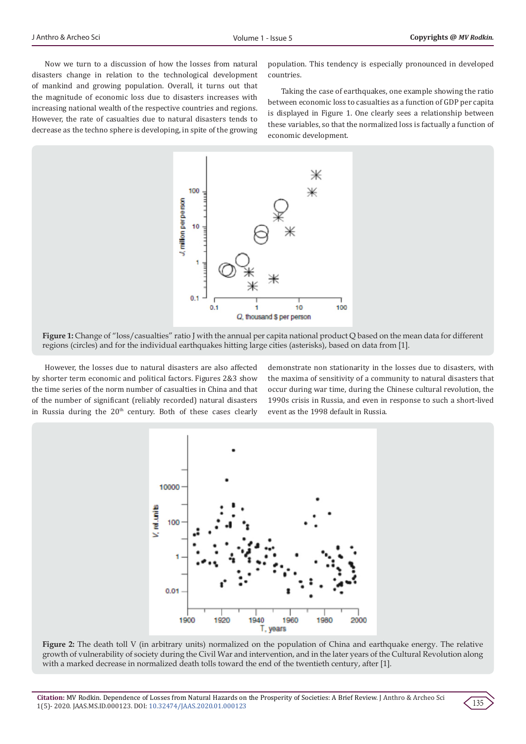Now we turn to a discussion of how the losses from natural disasters change in relation to the technological development of mankind and growing population. Overall, it turns out that the magnitude of economic loss due to disasters increases with increasing national wealth of the respective countries and regions. However, the rate of casualties due to natural disasters tends to decrease as the techno sphere is developing, in spite of the growing population. This tendency is especially pronounced in developed countries.

Taking the case of earthquakes, one example showing the ratio between economic loss to casualties as a function of GDP per capita is displayed in Figure 1. One clearly sees a relationship between these variables, so that the normalized loss is factually a function of economic development.



**Figure 1:** Change of "loss/casualties" ratio J with the annual per capita national product Q based on the mean data for different regions (circles) and for the individual earthquakes hitting large cities (asterisks), based on data from [1].

However, the losses due to natural disasters are also affected by shorter term economic and political factors. Figures 2&3 show the time series of the norm number of casualties in China and that of the number of significant (reliably recorded) natural disasters in Russia during the  $20<sup>th</sup>$  century. Both of these cases clearly demonstrate non stationarity in the losses due to disasters, with the maxima of sensitivity of a community to natural disasters that occur during war time, during the Chinese cultural revolution, the 1990s crisis in Russia, and even in response to such a short-lived event as the 1998 default in Russia.



**Figure 2:** The death toll V (in arbitrary units) normalized on the population of China and earthquake energy. The relative growth of vulnerability of society during the Civil War and intervention, and in the later years of the Cultural Revolution along with a marked decrease in normalized death tolls toward the end of the twentieth century, after [1].

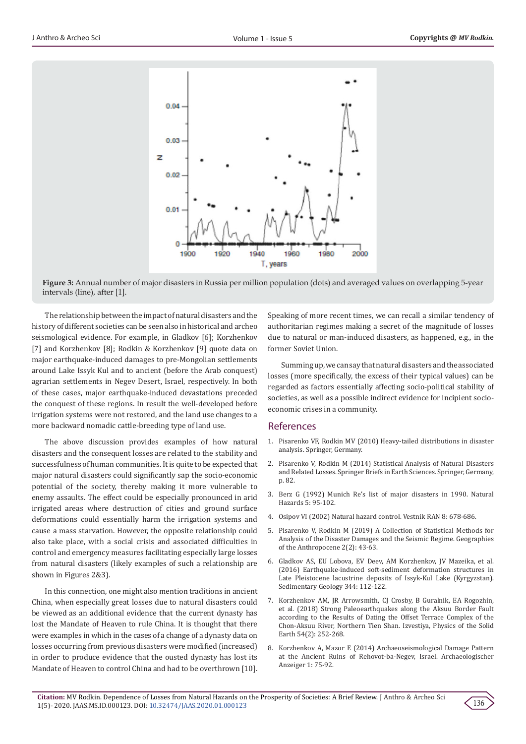

**Figure 3:** Annual number of major disasters in Russia per million population (dots) and averaged values on overlapping 5-year intervals (line), after [1].

The relationship between the impact of natural disasters and the history of different societies can be seen also in historical and archeo seismological evidence. For example, in Gladkov [6]; Korzhenkov [7] and Korzhenkov [8]; Rodkin & Korzhenkov [9] quote data on major earthquake-induced damages to pre-Mongolian settlements around Lake Issyk Kul and to ancient (before the Arab conquest) agrarian settlements in Negev Desert, Israel, respectively. In both of these cases, major earthquake-induced devastations preceded the conquest of these regions. In result the well-developed before irrigation systems were not restored, and the land use changes to a more backward nomadic cattle-breeding type of land use.

The above discussion provides examples of how natural disasters and the consequent losses are related to the stability and successfulness of human communities. It is quite to be expected that major natural disasters could significantly sap the socio-economic potential of the society, thereby making it more vulnerable to enemy assaults. The effect could be especially pronounced in arid irrigated areas where destruction of cities and ground surface deformations could essentially harm the irrigation systems and cause a mass starvation. However, the opposite relationship could also take place, with a social crisis and associated difficulties in control and emergency measures facilitating especially large losses from natural disasters (likely examples of such a relationship are shown in Figures 2&3).

In this connection, one might also mention traditions in ancient China, when especially great losses due to natural disasters could be viewed as an additional evidence that the current dynasty has lost the Mandate of Heaven to rule China. It is thought that there were examples in which in the cases of a change of a dynasty data on losses occurring from previous disasters were modified (increased) in order to produce evidence that the ousted dynasty has lost its Mandate of Heaven to control China and had to be overthrown [10].

Speaking of more recent times, we can recall a similar tendency of authoritarian regimes making a secret of the magnitude of losses due to natural or man-induced disasters, as happened, e.g., in the former Soviet Union.

Summing up, we can say that natural disasters and the associated losses (more specifically, the excess of their typical values) can be regarded as factors essentially affecting socio-political stability of societies, as well as a possible indirect evidence for incipient socioeconomic crises in a community.

#### References

- 1. [Pisarenko VF, Rodkin MV \(2010\) Heavy-tailed distributions in disaster](https://link.springer.com/content/pdf/bfm%3A978-90-481-9171-0%2F1.pdf) [analysis. Springer, Germany.](https://link.springer.com/content/pdf/bfm%3A978-90-481-9171-0%2F1.pdf)
- 2. [Pisarenko V, Rodkin M \(2014\) Statistical Analysis of Natural Disasters](https://www.researchgate.net/publication/265503938_Statistical_Analysis_of_Natural_Disasters_and_Related_Losses) [and Related Losses. Springer Briefs in Earth Sciences. Springer, Germany,](https://www.researchgate.net/publication/265503938_Statistical_Analysis_of_Natural_Disasters_and_Related_Losses) [p. 82.](https://www.researchgate.net/publication/265503938_Statistical_Analysis_of_Natural_Disasters_and_Related_Losses)
- 3. Berz G (1992) Munich Re's list of major disasters in 1990. Natural Hazards 5: 95-102.
- 4. Osipov VI (2002) Natural hazard control. Vestnik RAN 8: 678-686.
- 5. Pisarenko V, Rodkin M (2019) A Collection of Statistical Methods for Analysis of the Disaster Damages and the Seismic Regime. Geographies of the Anthropocene 2(2): 43-63.
- 6. [Gladkov AS, EU Lobova, EV Deev, AM Korzhenkov, JV Mazeika, et al.](https://www.researchgate.net/publication/305078003_Earthquake-induced_soft-sediment_deformation_structures_in_Late_Pleistocene_lacustrine_deposits_of_Issyk-Kul_lake_Kyrgyzstan) [\(2016\) Earthquake-induced soft-sediment deformation structures in](https://www.researchgate.net/publication/305078003_Earthquake-induced_soft-sediment_deformation_structures_in_Late_Pleistocene_lacustrine_deposits_of_Issyk-Kul_lake_Kyrgyzstan) [Late Pleistocene lacustrine deposits of Issyk-Kul Lake \(Kyrgyzstan\).](https://www.researchgate.net/publication/305078003_Earthquake-induced_soft-sediment_deformation_structures_in_Late_Pleistocene_lacustrine_deposits_of_Issyk-Kul_lake_Kyrgyzstan) [Sedimentary Geology 344: 112-122.](https://www.researchgate.net/publication/305078003_Earthquake-induced_soft-sediment_deformation_structures_in_Late_Pleistocene_lacustrine_deposits_of_Issyk-Kul_lake_Kyrgyzstan)
- 7. [Korzhenkov AM, JR Arrowsmith, CJ Crosby, B Guralnik, EA Rogozhin,](https://link.springer.com/article/10.1134/S106935131802009X) [et al. \(2018\) Strong Paleoearthquakes along the Aksuu Border Fault](https://link.springer.com/article/10.1134/S106935131802009X) [according to the Results of Dating the Offset Terrace Complex of the](https://link.springer.com/article/10.1134/S106935131802009X) [Chon-Aksuu River, Northern Tien Shan. Izvestiya, Physics of the Solid](https://link.springer.com/article/10.1134/S106935131802009X) [Earth 54\(2\): 252-268.](https://link.springer.com/article/10.1134/S106935131802009X)
- 8. [Korzhenkov A, Mazor E \(2014\) Archaeoseismological Damage Pattern](https://www.researchgate.net/publication/295858434_Archaeoseismological_damage_pattern_at_the_ancient_ruins_of_Rehovot-ba-Negev_Israel) [at the Ancient Ruins of Rehovot-ba-Negev, Israel. Archaeologischer](https://www.researchgate.net/publication/295858434_Archaeoseismological_damage_pattern_at_the_ancient_ruins_of_Rehovot-ba-Negev_Israel) [Anzeiger 1: 75-92.](https://www.researchgate.net/publication/295858434_Archaeoseismological_damage_pattern_at_the_ancient_ruins_of_Rehovot-ba-Negev_Israel)

136